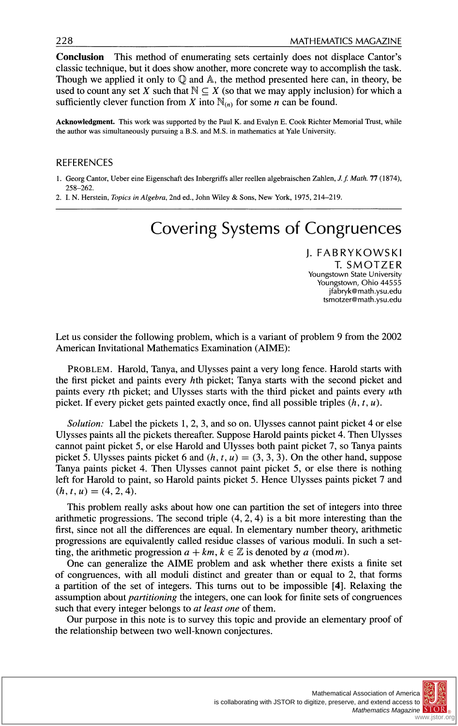**Conclusion This method of enumerating sets certainly does not displace Cantor's classic technique, but it does show another, more concrete way to accomplish the task. Though we applied it only to Q and A, the method presented here can, in theory, be**  used to count any set X such that  $\mathbb{N} \subseteq X$  (so that we may apply inclusion) for which a sufficiently clever function from X into  $\mathbb{N}_{(n)}$  for some *n* can be found.

**Acknowledgment. This work was supported by the Paul K. and Evalyn E. Cook Richter Memorial Trust, while the author was simultaneously pursuing a B.S. and M.S. in mathematics at Yale University.** 

### **REFERENCES**

- **1. Georg Cantor, Ueber eine Eigenschaft des Inbergriffs aller reellen algebraischen Zahlen, J. f. Math. 77 (1874), 258-262.**
- **2. I. N. Herstein, Topics in Algebra, 2nd ed., John Wiley & Sons, New York, 1975, 214-219.**

# **Covering Systems of Congruences**

**J. FABRYKOWSKI T. SMOTZER Youngstown State University Youngstown, Ohio 44555 jfabryk@math.ysu.edu tsmotzer@math.ysu.edu** 

**Let us consider the following problem, which is a variant of problem 9 from the 2002 American Invitational Mathematics Examination (AIME):** 

**PROBLEM. Harold, Tanya, and Ulysses paint a very long fence. Harold starts with the first picket and paints every hth picket; Tanya starts with the second picket and paints every tth picket; and Ulysses starts with the third picket and paints every uth picket. If every picket gets painted exactly once, find all possible triples (h, t, u).** 

**Solution: Label the pickets 1, 2, 3, and so on. Ulysses cannot paint picket 4 or else Ulysses paints all the pickets thereafter. Suppose Harold paints picket 4. Then Ulysses cannot paint picket 5, or else Harold and Ulysses both paint picket 7, so Tanya paints**  picket 5. Ulysses paints picket 6 and  $(h, t, u) = (3, 3, 3)$ . On the other hand, suppose **Tanya paints picket 4. Then Ulysses cannot paint picket 5, or else there is nothing left for Harold to paint, so Harold paints picket 5. Hence Ulysses paints picket 7 and**   $(h, t, u) = (4, 2, 4).$ 

**This problem really asks about how one can partition the set of integers into three arithmetic progressions. The second triple (4, 2, 4) is a bit more interesting than the first, since not all the differences are equal. In elementary number theory, arithmetic progressions are equivalently called residue classes of various moduli. In such a set**ting, the arithmetic progression  $a + km$ ,  $k \in \mathbb{Z}$  is denoted by a (mod m).

**One can generalize the AIME problem and ask whether there exists a finite set of congruences, with all moduli distinct and greater than or equal to 2, that forms a partition of the set of integers. This turns out to be impossible [4]. Relaxing the assumption about partitioning the integers, one can look for finite sets of congruences such that every integer belongs to at least one of them.** 

**Our purpose in this note is to survey this topic and provide an elementary proof of the relationship between two well-known conjectures.** 

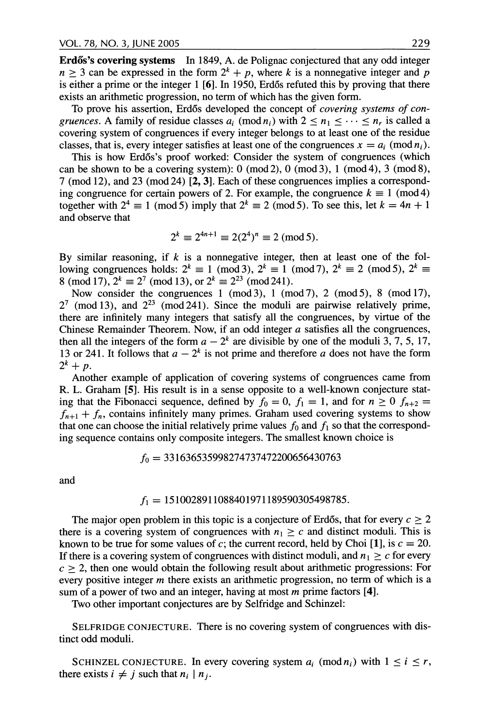**Erdős's covering systems** In 1849, A. de Polignac conjectured that any odd integer  $n \geq 3$  can be expressed in the form  $2^k + p$ , where k is a nonnegative integer and p is either a prime or the integer 1 [6]. In 1950, Erdős refuted this by proving that there **exists an arithmetic progression, no term of which has the given form.** 

**To prove his assertion, Erd6s developed the concept of covering systems of con***gruences.* A family of residue classes  $a_i \pmod{n_i}$  with  $2 \le n_1 \le \cdots \le n_r$  is called a **covering system of congruences if every integer belongs to at least one of the residue**  classes, that is, every integer satisfies at least one of the congruences  $x = a_i \pmod{n_i}$ .

This is how Erdős's proof worked: Consider the system of congruences (which **can be shown to be a covering system): 0 (mod 2), 0 (mod 3), 1 (mod 4), 3 (mod 8), 7 (mod 12), and 23 (mod 24) [2, 3]. Each of these congruences implies a correspond**ing congruence for certain powers of 2. For example, the congruence  $k \equiv 1 \pmod{4}$ together with  $2^4 \equiv 1 \pmod{5}$  imply that  $2^k \equiv 2 \pmod{5}$ . To see this, let  $k = 4n + 1$ **and observe that** 

$$
2^k \equiv 2^{4n+1} \equiv 2(2^4)^n \equiv 2 \pmod{5}.
$$

By similar reasoning, if k is a nonnegative integer, then at least one of the following congruences holds:  $2^k \equiv 1 \pmod{3}$ ,  $2^k \equiv 1 \pmod{7}$ ,  $2^k \equiv 2 \pmod{5}$ ,  $2^k \equiv 1 \pmod{7}$ 8 (mod 17),  $2^k \equiv 2^7 \pmod{13}$ , or  $2^k \equiv 2^{23} \pmod{241}$ .

**Now consider the congruences 1 (mod 3), 1 (mod 7), 2 (mod 5), 8 (mod 17), 27 (mod 13), and 223 (mod 241). Since the moduli are pairwise relatively prime, there are infinitely many integers that satisfy all the congruences, by virtue of the Chinese Remainder Theorem. Now, if an odd integer a satisfies all the congruences,**  then all the integers of the form  $a - 2<sup>k</sup>$  are divisible by one of the moduli 3, 7, 5, 17, 13 or 241. It follows that  $a - 2^k$  is not prime and therefore a does not have the form  $2^k + p$ .

**Another example of application of covering systems of congruences came from R. L. Graham [5]. His result is in a sense opposite to a well-known conjecture stat**ing that the Fibonacci sequence, defined by  $f_0 = 0$ ,  $f_1 = 1$ , and for  $n \ge 0$   $f_{n+2} =$  $f_{n+1} + f_n$ , contains infinitely many primes. Graham used covering systems to show that one can choose the initial relatively prime values  $f_0$  and  $f_1$  so that the correspond**ing sequence contains only composite integers. The smallest known choice is** 

$$
f_0 = 331636535998274737472200656430763
$$

**and** 

#### **A = 1510028911088401971189590305498785.**

The major open problem in this topic is a conjecture of Erdős, that for every  $c \geq 2$ there is a covering system of congruences with  $n_1 \geq c$  and distinct moduli. This is known to be true for some values of c; the current record, held by Choi [1], is  $c = 20$ . If there is a covering system of congruences with distinct moduli, and  $n_1 \geq c$  for every  $c > 2$ , then one would obtain the following result about arithmetic progressions: For **every positive integer m there exists an arithmetic progression, no term of which is a sum of a power of two and an integer, having at most m prime factors [4].** 

**Two other important conjectures are by Selfridge and Schinzel:** 

**SELFRIDGE CONJECTURE. There is no covering system of congruences with distinct odd moduli.** 

SCHINZEL CONJECTURE. In every covering system  $a_i \pmod{n_i}$  with  $1 \le i \le r$ , there exists  $i \neq j$  such that  $n_i \mid n_j$ .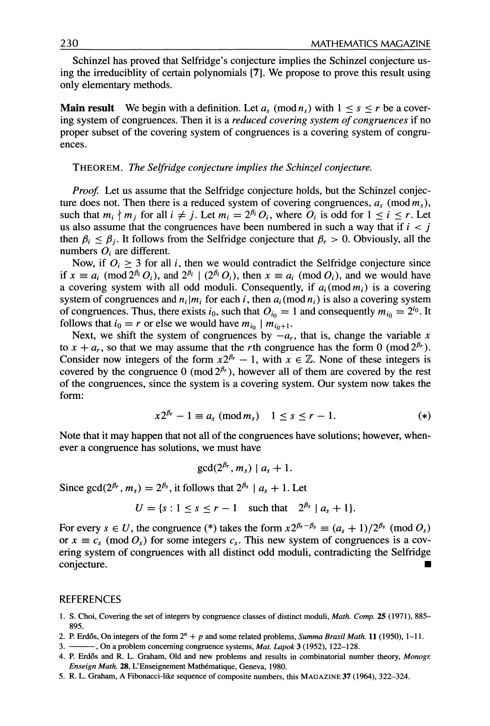**Schinzel has proved that Selfridge's conjecture implies the Schinzel conjecture using the irreduciblity of certain polynomials [7]. We propose to prove this result using only elementary methods.** 

**Main result** We begin with a definition. Let  $a_s \pmod{n_s}$  with  $1 \leq s \leq r$  be a cover**ing system of congruences. Then it is a reduced covering system of congruences if no proper subset of the covering system of congruences is a covering system of congruences.** 

**THEOREM. The Selfridge conjecture implies the Schinzel conjecture.** 

*Proof.* **Let us assume that the Selfridge conjecture holds, but the Schinzel conjec**ture does not. Then there is a reduced system of covering congruences,  $a_s$  (mod  $m_s$ ), such that  $m_i \nmid m_j$  for all  $i \neq j$ . Let  $m_i = 2^{\beta_i} O_i$ , where  $O_i$  is odd for  $1 \leq i \leq r$ . Let us also assume that the congruences have been numbered in such a way that if  $i < j$ then  $\beta_i \leq \beta_i$ . It follows from the Selfridge conjecture that  $\beta_r > 0$ . Obviously, all the numbers  $O_i$  are different.

Now, if  $O_i \geq 3$  for all *i*, then we would contradict the Selfridge conjecture since if  $x \equiv a_i \pmod{2^{\beta_i} O_i}$ , and  $2^{\beta_i} \mid (2^{\beta_i} O_i)$ , then  $x \equiv a_i \pmod{O_i}$ , and we would have a covering system with all odd moduli. Consequently, if  $a_i \text{ (mod } m_i)$  is a covering system of congruences and  $n_i | m_i$  for each i, then  $a_i \text{ (mod } n_i)$  is also a covering system of congruences. Thus, there exists  $i_0$ , such that  $O_{i_0} = 1$  and consequently  $m_{i_0} = 2^{i_0}$ . It follows that  $i_0 = r$  or else we would have  $m_{i_0} \mid m_{i_0+1}$ .

Next, we shift the system of congruences by  $-a_r$ , that is, change the variable x to  $x + a_r$ , so that we may assume that the rth congruence has the form 0 (mod  $2^{\beta_r}$ ). Consider now integers of the form  $x2^{\beta r} - 1$ , with  $x \in \mathbb{Z}$ . None of these integers is covered by the congruence 0 (mod  $2^{\beta r}$ ), however all of them are covered by the rest **of the congruences, since the system is a covering system. Our system now takes the form:** 

$$
x2^{\beta_r} - 1 \equiv a_s \pmod{m_s} \quad 1 \le s \le r - 1. \tag{*}
$$

**Note that it may happen that not all of the congruences have solutions; however, whenever a congruence has solutions, we must have** 

$$
\gcd(2^{p_r}, m_s) \mid a_s + 1.
$$

Since gcd( $2^{\beta_r}$ ,  $m_s$ ) =  $2^{\beta_s}$ , it follows that  $2^{\beta_s}$  |  $a_s$  + 1. Let

$$
U = \{s : 1 \le s \le r - 1 \quad \text{such that} \quad 2^{\beta_s} \mid a_s + 1\}.
$$

For every  $s \in U$ , the congruence (\*) takes the form  $x2^{\beta_r-\beta_s} \equiv (a_s + 1)/2^{\beta_s} \pmod{O_s}$ or  $x \equiv c_s \pmod{O_s}$  for some integers  $c_s$ . This new system of congruences is a cov**ering system of congruences with all distinct odd moduli, contradicting the Selfridge conjecture.** 

#### **REFERENCES**

- **1. S. Choi, Covering the set of integers by congruence classes of distinct moduli, Math. Comp. 25 (1971), 885-**
- **2. P. Erd6s, On integers of the form 2" + p and some related problems, Summa Brasil Math 11 (1950), 1-11.**
- -, On a problem concerning congruence systems, Mat. Lapok 3 (1952), 122-128.
- **4. P. Erd6s and R. L. Graham, Old and new problems and results in combinatorial number theory, Monogr. Enseign Math 28, L'Enseignement Mathematique, Geneva, 1980.**
- **5. R. L. Graham, A Fibonacci-like sequence of composite numbers, this MAGAZINE 37 (1964), 322-324.**